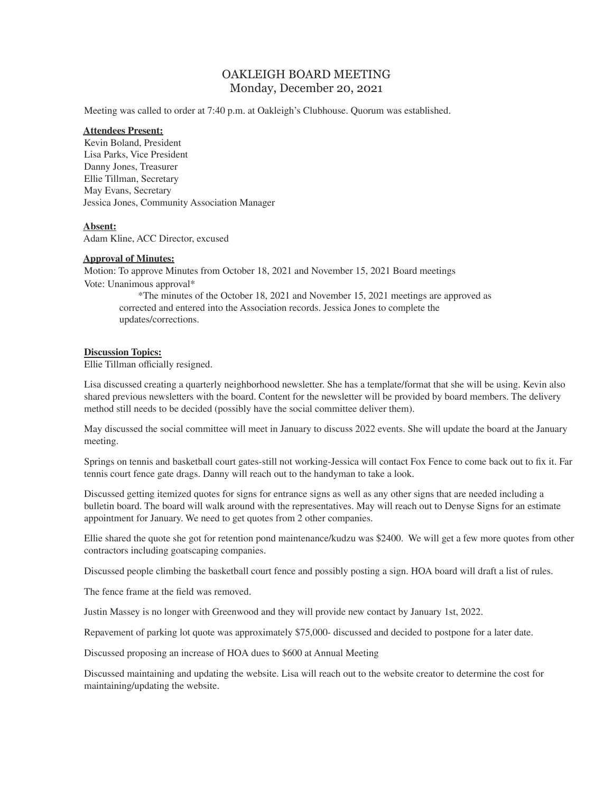# OAKLEIGH BOARD MEETING Monday, December 20, 2021

Meeting was called to order at 7:40 p.m. at Oakleigh's Clubhouse. Quorum was established.

#### **Attendees Present:**

Kevin Boland, President Lisa Parks, Vice President Danny Jones, Treasurer Ellie Tillman, Secretary May Evans, Secretary Jessica Jones, Community Association Manager

# **Absent:**

Adam Kline, ACC Director, excused

# **Approval of Minutes:**

Motion: To approve Minutes from October 18, 2021 and November 15, 2021 Board meetings Vote: Unanimous approval\*

\*The minutes of the October 18, 2021 and November 15, 2021 meetings are approved as corrected and entered into the Association records. Jessica Jones to complete the updates/corrections.

#### **Discussion Topics:**

Ellie Tillman officially resigned.

Lisa discussed creating a quarterly neighborhood newsletter. She has a template/format that she will be using. Kevin also shared previous newsletters with the board. Content for the newsletter will be provided by board members. The delivery method still needs to be decided (possibly have the social committee deliver them).

May discussed the social committee will meet in January to discuss 2022 events. She will update the board at the January meeting.

Springs on tennis and basketball court gates-still not working-Jessica will contact Fox Fence to come back out to fix it. Far tennis court fence gate drags. Danny will reach out to the handyman to take a look.

Discussed getting itemized quotes for signs for entrance signs as well as any other signs that are needed including a bulletin board. The board will walk around with the representatives. May will reach out to Denyse Signs for an estimate appointment for January. We need to get quotes from 2 other companies.

Ellie shared the quote she got for retention pond maintenance/kudzu was \$2400. We will get a few more quotes from other contractors including goatscaping companies.

Discussed people climbing the basketball court fence and possibly posting a sign. HOA board will draft a list of rules.

The fence frame at the field was removed.

Justin Massey is no longer with Greenwood and they will provide new contact by January 1st, 2022.

Repavement of parking lot quote was approximately \$75,000- discussed and decided to postpone for a later date.

Discussed proposing an increase of HOA dues to \$600 at Annual Meeting

Discussed maintaining and updating the website. Lisa will reach out to the website creator to determine the cost for maintaining/updating the website.